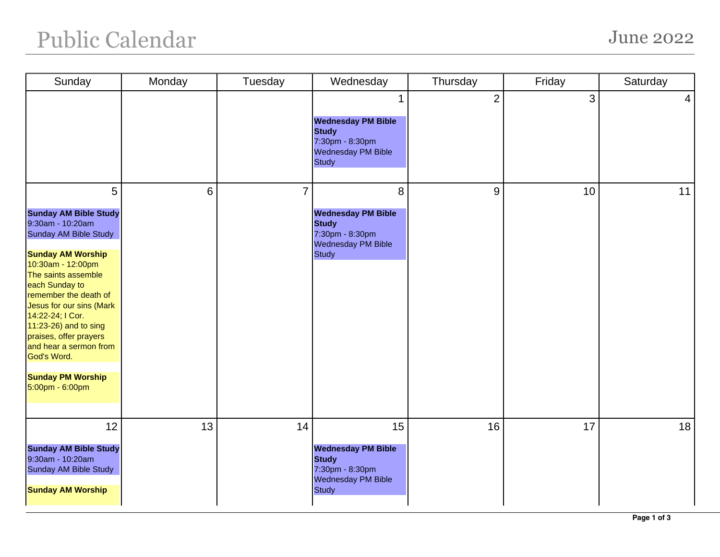## Public Calendar June 2022

| Sunday                                                                                                                                                                                                                                                                                                                                                                                       | Monday | Tuesday        | Wednesday                                                                                                      | Thursday       | Friday | Saturday        |
|----------------------------------------------------------------------------------------------------------------------------------------------------------------------------------------------------------------------------------------------------------------------------------------------------------------------------------------------------------------------------------------------|--------|----------------|----------------------------------------------------------------------------------------------------------------|----------------|--------|-----------------|
|                                                                                                                                                                                                                                                                                                                                                                                              |        |                | 1<br><b>Wednesday PM Bible</b><br><b>Study</b><br>7:30pm - 8:30pm<br><b>Wednesday PM Bible</b><br><b>Study</b> | $\overline{2}$ | 3      | $\vert 4 \vert$ |
| 5<br><b>Sunday AM Bible Study</b><br>9:30am - 10:20am<br>Sunday AM Bible Study<br><b>Sunday AM Worship</b><br>10:30am - 12:00pm<br>The saints assemble<br>each Sunday to<br>remember the death of<br>Jesus for our sins (Mark<br>14:22-24; I Cor.<br>11:23-26) and to sing<br>praises, offer prayers<br>and hear a sermon from<br>God's Word.<br><b>Sunday PM Worship</b><br>5:00pm - 6:00pm | 6      | $\overline{7}$ | 8<br><b>Wednesday PM Bible</b><br><b>Study</b><br>7:30pm - 8:30pm<br><b>Wednesday PM Bible</b><br><b>Study</b> | 9              | 10     | 11              |
| 12<br><b>Sunday AM Bible Study</b><br>9:30am - 10:20am<br>Sunday AM Bible Study<br><b>Sunday AM Worship</b>                                                                                                                                                                                                                                                                                  | 13     | 14             | 15<br><b>Wednesday PM Bible</b><br><b>Study</b><br>7:30pm - 8:30pm<br>Wednesday PM Bible<br><b>Study</b>       | 16             | 17     | 18              |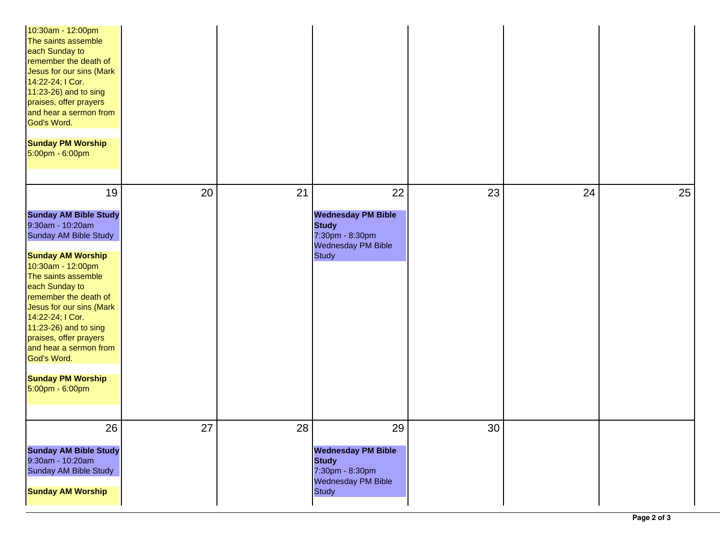| 10:30am - 12:00pm<br>The saints assemble<br>each Sunday to<br>remember the death of<br>Jesus for our sins (Mark<br>14:22-24; I Cor.<br>11:23-26) and to sing<br>praises, offer prayers<br>and hear a sermon from<br>God's Word.<br><b>Sunday PM Worship</b><br>5:00pm - 6:00pm                                                                                                                |    |    |                                                                                                          |    |    |    |
|-----------------------------------------------------------------------------------------------------------------------------------------------------------------------------------------------------------------------------------------------------------------------------------------------------------------------------------------------------------------------------------------------|----|----|----------------------------------------------------------------------------------------------------------|----|----|----|
| 19<br><b>Sunday AM Bible Study</b><br>9:30am - 10:20am<br>Sunday AM Bible Study<br><b>Sunday AM Worship</b><br>10:30am - 12:00pm<br>The saints assemble<br>each Sunday to<br>remember the death of<br>Jesus for our sins (Mark<br>14:22-24; I Cor.<br>11:23-26) and to sing<br>praises, offer prayers<br>and hear a sermon from<br>God's Word.<br><b>Sunday PM Worship</b><br>5:00pm - 6:00pm | 20 | 21 | 22<br><b>Wednesday PM Bible</b><br><b>Study</b><br>7:30pm - 8:30pm<br>Wednesday PM Bible<br><b>Study</b> | 23 | 24 | 25 |
| 26<br><b>Sunday AM Bible Study</b><br>9:30am - 10:20am<br><b>Sunday AM Bible Study</b><br><b>Sunday AM Worship</b>                                                                                                                                                                                                                                                                            | 27 | 28 | 29<br><b>Wednesday PM Bible</b><br><b>Study</b><br>7:30pm - 8:30pm<br>Wednesday PM Bible<br><b>Study</b> | 30 |    |    |